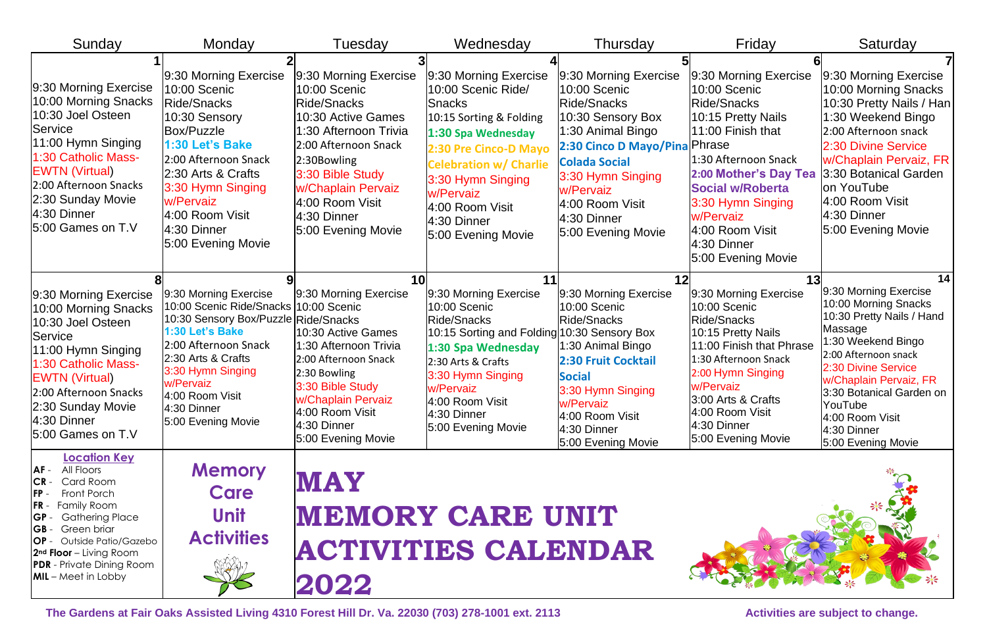| Sunday                                                                                                                                                                                                                                                                                     | Monday                                                                                                                                                                                                                                                            | Tuesday                                                                                                                                                                                                                                             | Wednesday                                                                                                                                                                                                                                                         | Thursday                                                                                                                                                                                                                                            | Friday                                                                                                                                                                                                                                                                | Saturday                                                                                                                                                                                                                                                                                  |
|--------------------------------------------------------------------------------------------------------------------------------------------------------------------------------------------------------------------------------------------------------------------------------------------|-------------------------------------------------------------------------------------------------------------------------------------------------------------------------------------------------------------------------------------------------------------------|-----------------------------------------------------------------------------------------------------------------------------------------------------------------------------------------------------------------------------------------------------|-------------------------------------------------------------------------------------------------------------------------------------------------------------------------------------------------------------------------------------------------------------------|-----------------------------------------------------------------------------------------------------------------------------------------------------------------------------------------------------------------------------------------------------|-----------------------------------------------------------------------------------------------------------------------------------------------------------------------------------------------------------------------------------------------------------------------|-------------------------------------------------------------------------------------------------------------------------------------------------------------------------------------------------------------------------------------------------------------------------------------------|
| 9:30 Morning Exercise<br>10:00 Morning Snacks<br>10:30 Joel Osteen<br><b>Service</b><br>11:00 Hymn Singing<br>1:30 Catholic Mass-<br><b>EWTN (Virtual)</b><br>2:00 Afternoon Snacks<br>2:30 Sunday Movie<br>$4:30$ Dinner<br>5:00 Games on T.V                                             | 9:30 Morning Exercise<br>10:00 Scenic<br>Ride/Snacks<br>10:30 Sensory<br><b>Box/Puzzle</b><br>1:30 Let's Bake<br>2:00 Afternoon Snack<br>2:30 Arts & Crafts<br>3:30 Hymn Singing<br>w/Pervaiz<br>4:00 Room Visit<br>4:30 Dinner<br>5:00 Evening Movie             | 9:30 Morning Exercise<br>10:00 Scenic<br>Ride/Snacks<br>10:30 Active Games<br>1:30 Afternoon Trivia<br>2:00 Afternoon Snack<br>2:30Bowling<br>3:30 Bible Study<br><b>w/Chaplain Pervaiz</b><br>4:00 Room Visit<br>4:30 Dinner<br>5:00 Evening Movie | 9:30 Morning Exercise<br>10:00 Scenic Ride/<br><b>Snacks</b><br>10:15 Sorting & Folding<br>1:30 Spa Wednesday<br>2:30 Pre Cinco-D Mayo<br><b>Celebration w/ Charlie</b><br>3:30 Hymn Singing<br>w/Pervaiz<br>4:00 Room Visit<br>4:30 Dinner<br>5:00 Evening Movie | 9:30 Morning Exercise<br>10:00 Scenic<br>Ride/Snacks<br>10:30 Sensory Box<br>1:30 Animal Bingo<br>2:30 Cinco D Mayo/Pina Phrase<br><b>Colada Social</b><br>3:30 Hymn Singing<br>w/Pervaiz<br>4:00 Room Visit<br>$4:30$ Dinner<br>5:00 Evening Movie | 9:30 Morning Exercise<br>10:00 Scenic<br>Ride/Snacks<br>10:15 Pretty Nails<br>11:00 Finish that<br>1:30 Afternoon Snack<br>2:00 Mother's Day Tea<br><b>Social w/Roberta</b><br>3:30 Hymn Singing<br>w/Pervaiz<br>4:00 Room Visit<br>4:30 Dinner<br>5:00 Evening Movie | 9:30 Morning Exercise<br>10:00 Morning Snacks<br>10:30 Pretty Nails / Han<br>1:30 Weekend Bingo<br>2:00 Afternoon snack<br>2:30 Divine Service<br>w/Chaplain Pervaiz, FR  <br>3:30 Botanical Garden<br>on YouTube<br>4:00 Room Visit<br>4:30 Dinner<br>5:00 Evening Movie                 |
| 9:30 Morning Exercise<br>10:00 Morning Snacks<br>10:30 Joel Osteen<br>Service<br>11:00 Hymn Singing<br>1:30 Catholic Mass-<br><b>EWTN (Virtual)</b><br>2:00 Afternoon Snacks<br>2:30 Sunday Movie<br>$4:30$ Dinner<br>5:00 Games on T.V                                                    | 9:30 Morning Exercise<br>10:00 Scenic Ride/Snacks 10:00 Scenic<br>10:30 Sensory Box/Puzzle Ride/Snacks<br>1:30 Let's Bake<br>2:00 Afternoon Snack<br>2:30 Arts & Crafts<br>3:30 Hymn Singing<br>w/Pervaiz<br>4:00 Room Visit<br>4:30 Dinner<br>5:00 Evening Movie | 10<br>9:30 Morning Exercise<br>10:30 Active Games<br>1:30 Afternoon Trivia<br>2:00 Afternoon Snack<br>2:30 Bowling<br>3:30 Bible Study<br>w/Chaplain Pervaiz<br>4:00 Room Visit<br>4:30 Dinner<br>5:00 Evening Movie                                | 9:30 Morning Exercise<br>10:00 Scenic<br>Ride/Snacks<br>10:15 Sorting and Folding 10:30 Sensory Box<br>1:30 Spa Wednesday<br>2:30 Arts & Crafts<br>3:30 Hymn Singing<br>w/Pervaiz<br>4:00 Room Visit<br>4:30 Dinner<br>5:00 Evening Movie                         | 9:30 Morning Exercise<br>10:00 Scenic<br>Ride/Snacks<br>1:30 Animal Bingo<br>2:30 Fruit Cocktail<br><b>Social</b><br>3:30 Hymn Singing<br>w/Pervaiz<br>4:00 Room Visit<br>4:30 Dinner<br>5:00 Evening Movie                                         | 9:30 Morning Exercise<br>10:00 Scenic<br>Ride/Snacks<br>10:15 Pretty Nails<br>11:00 Finish that Phrase<br>1:30 Afternoon Snack<br>2:00 Hymn Singing<br>w/Pervaiz<br>3:00 Arts & Crafts<br>4:00 Room Visit<br>4:30 Dinner<br>5:00 Evening Movie                        | 14<br>9:30 Morning Exercise<br>10:00 Morning Snacks<br>10:30 Pretty Nails / Hand<br>Massage<br>1:30 Weekend Bingo<br>2:00 Afternoon snack<br>2:30 Divine Service<br>w/Chaplain Pervaiz, FR<br>3:30 Botanical Garden on<br>YouTube<br>4:00 Room Visit<br>4:30 Dinner<br>5:00 Evening Movie |
| <b>Location Key</b><br>All Floors<br>AF -<br>Card Room<br>Front Porch<br>IFP -<br><b>Family Room</b><br><b>Gathering Place</b><br>IGP<br>Green briar<br>IGB -<br><b>OP</b> - Outside Patio/Gazebo<br>$2nd$ Floor – Living Room<br><b>PDR</b> - Private Dining Room<br>$ML$ – Meet in Lobby | <b>Memory</b><br>Care<br><b>Unit</b><br><b>Activities</b>                                                                                                                                                                                                         | <b>MAY</b><br>2022                                                                                                                                                                                                                                  | <b>MEMORY CARE UNIT</b><br>ACTIVITIES CALENDAR                                                                                                                                                                                                                    |                                                                                                                                                                                                                                                     |                                                                                                                                                                                                                                                                       |                                                                                                                                                                                                                                                                                           |

The Gardens at Fair Oaks Assisted Living 4310 Forest Hill Dr. Va. 22030 (703) 278-1001 ext. 2113 Activities are subject to change.